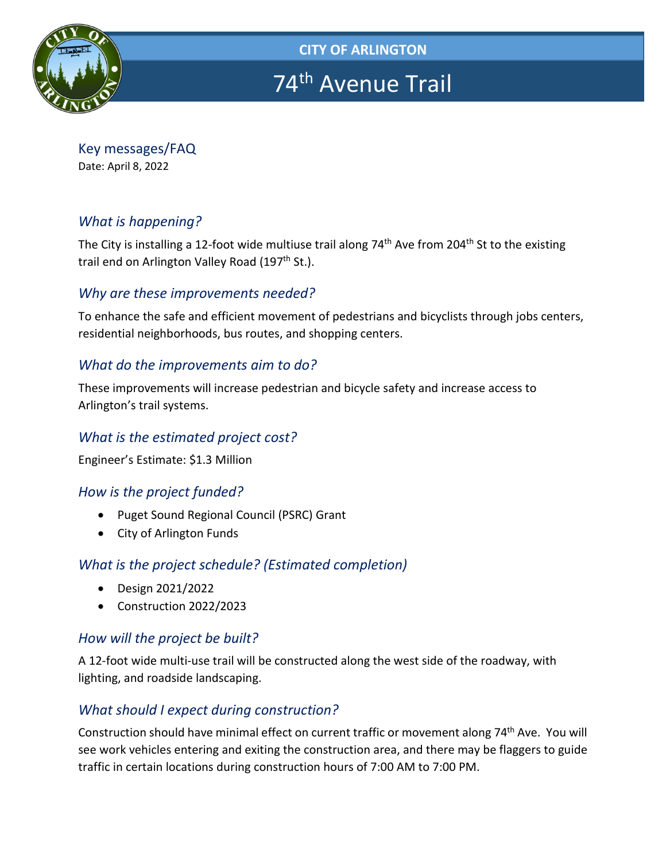

**CITY OF ARLINGTON** 

# 74<sup>th</sup> Avenue Trail

Key messages/FAQ Date: April 8, 2022

# *What is happening?*

The City is installing a 12-foot wide multiuse trail along 74<sup>th</sup> Ave from 204<sup>th</sup> St to the existing trail end on Arlington Valley Road (197<sup>th</sup> St.).

#### *Why are these improvements needed?*

To enhance the safe and efficient movement of pedestrians and bicyclists through jobs centers, residential neighborhoods, bus routes, and shopping centers.

#### *What do the improvements aim to do?*

These improvements will increase pedestrian and bicycle safety and increase access to Arlington's trail systems.

#### *What is the estimated project cost?*

Engineer's Estimate: \$1.3 Million

# *How is the project funded?*

- Puget Sound Regional Council (PSRC) Grant
- City of Arlington Funds

# *What is the project schedule? (Estimated completion)*

- Design 2021/2022
- Construction 2022/2023

# *How will the project be built?*

A 12-foot wide multi-use trail will be constructed along the west side of the roadway, with lighting, and roadside landscaping.

# *What should I expect during construction?*

Construction should have minimal effect on current traffic or movement along 74<sup>th</sup> Ave. You will see work vehicles entering and exiting the construction area, and there may be flaggers to guide traffic in certain locations during construction hours of 7:00 AM to 7:00 PM.